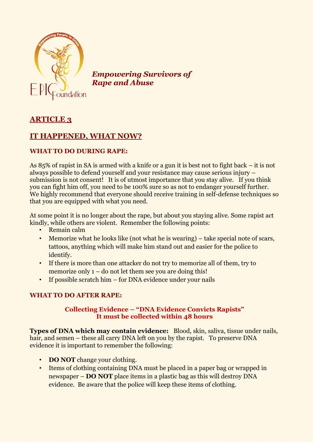

*Empowering Survivors of Rape and Abuse* 

# **ARTICLE 3**

## **IT HAPPENED, WHAT NOW?**

#### **WHAT TO DO DURING RAPE:**

As 85% of rapist in SA is armed with a knife or a gun it is best not to fight back – it is not always possible to defend yourself and your resistance may cause serious injury – submission is not consent! It is of utmost importance that you stay alive. If you think you can fight him off, you need to be 100% sure so as not to endanger yourself further. We highly recommend that everyone should receive training in self-defense techniques so that you are equipped with what you need.

At some point it is no longer about the rape, but about you staying alive. Some rapist act kindly, while others are violent. Remember the following points:

- Remain calm
- Memorize what he looks like (not what he is wearing) take special note of scars, tattoos, anything which will make him stand out and easier for the police to identify.
- If there is more than one attacker do not try to memorize all of them, try to memorize only 1 – do not let them see you are doing this!
- If possible scratch him for DNA evidence under your nails

#### **WHAT TO DO AFTER RAPE:**

#### **Collecting Evidence – "DNA Evidence Convicts Rapists" It must be collected within 48 hours**

**Types of DNA which may contain evidence:** Blood, skin, saliva, tissue under nails, hair, and semen – these all carry DNA left on you by the rapist. To preserve DNA evidence it is important to remember the following:

- **DO NOT** change your clothing.
- Items of clothing containing DNA must be placed in a paper bag or wrapped in newspaper – **DO NOT** place items in a plastic bag as this will destroy DNA evidence. Be aware that the police will keep these items of clothing.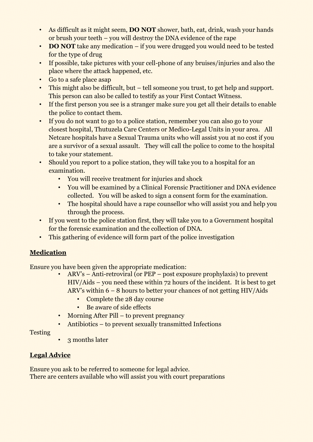- As difficult as it might seem, **DO NOT** shower, bath, eat, drink, wash your hands or brush your teeth – you will destroy the DNA evidence of the rape
- **DO NOT** take any medication if you were drugged you would need to be tested for the type of drug
- If possible, take pictures with your cell-phone of any bruises/injuries and also the place where the attack happened, etc.
- Go to a safe place asap
- This might also be difficult, but tell someone you trust, to get help and support. This person can also be called to testify as your First Contact Witness.
- If the first person you see is a stranger make sure you get all their details to enable the police to contact them.
- If you do not want to go to a police station, remember you can also go to your closest hospital, Thutuzela Care Centers or Medico-Legal Units in your area. All Netcare hospitals have a Sexual Trauma units who will assist you at no cost if you are a survivor of a sexual assault. They will call the police to come to the hospital to take your statement.
- Should you report to a police station, they will take you to a hospital for an examination.
	- You will receive treatment for injuries and shock
	- You will be examined by a Clinical Forensic Practitioner and DNA evidence collected. You will be asked to sign a consent form for the examination.
	- The hospital should have a rape counsellor who will assist you and help you through the process.
- If you went to the police station first, they will take you to a Government hospital for the forensic examination and the collection of DNA.
- This gathering of evidence will form part of the police investigation

## **Medication**

Ensure you have been given the appropriate medication:

- ARV's Anti-retroviral (or PEP post exposure prophylaxis) to prevent HIV/Aids – you need these within 72 hours of the incident. It is best to get ARV's within 6 – 8 hours to better your chances of not getting HIV/Aids
	- Complete the 28 day course
	- Be aware of side effects
- Morning After Pill to prevent pregnancy
- Antibiotics to prevent sexually transmitted Infections

**Testing** 

• 3 months later

## **Legal Advice**

Ensure you ask to be referred to someone for legal advice. There are centers available who will assist you with court preparations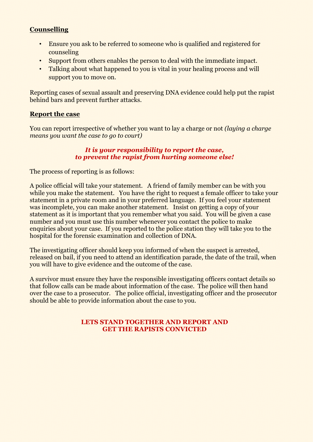#### **Counselling**

- Ensure you ask to be referred to someone who is qualified and registered for counseling
- Support from others enables the person to deal with the immediate impact.
- Talking about what happened to you is vital in your healing process and will support you to move on.

Reporting cases of sexual assault and preserving DNA evidence could help put the rapist behind bars and prevent further attacks.

#### **Report the case**

You can report irrespective of whether you want to lay a charge or not *(laying a charge means you want the case to go to court)*

#### *It is your responsibility to report the case, to prevent the rapist from hurting someone else!*

The process of reporting is as follows:

A police official will take your statement. A friend of family member can be with you while you make the statement. You have the right to request a female officer to take your statement in a private room and in your preferred language. If you feel your statement was incomplete, you can make another statement. Insist on getting a copy of your statement as it is important that you remember what you said. You will be given a case number and you must use this number whenever you contact the police to make enquiries about your case. If you reported to the police station they will take you to the hospital for the forensic examination and collection of DNA.

The investigating officer should keep you informed of when the suspect is arrested, released on bail, if you need to attend an identification parade, the date of the trail, when you will have to give evidence and the outcome of the case.

A survivor must ensure they have the responsible investigating officers contact details so that follow calls can be made about information of the case. The police will then hand over the case to a prosecutor. The police official, investigating officer and the prosecutor should be able to provide information about the case to you.

#### **LETS STAND TOGETHER AND REPORT AND GET THE RAPISTS CONVICTED**